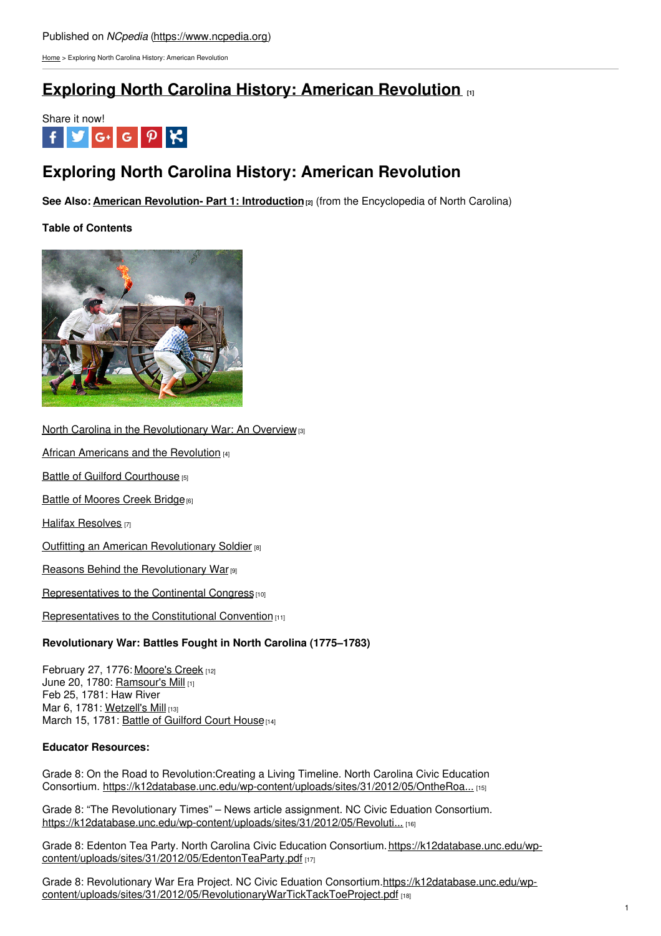[Home](https://www.ncpedia.org/) > Exploring North Carolina History: American Revolution

## **Exploring North Carolina History: American [Revolution](https://www.ncpedia.org/exploring-north-carolina-history) [1]**



# **Exploring North Carolina History: American Revolution**

**See Also: American Revolution- Part 1: [Introduction](https://www.ncpedia.org/american-revolution)[2]** (from the Encyclopedia of North Carolina)

### **Table of Contents**



North Carolina in the [Revolutionary](https://www.ncpedia.org/history/usrevolution/overview) War: An Overview<sup>[3]</sup>

African [Americans](https://www.ncpedia.org/history/usrevolution/african-americans) and the Revolution [4]

Battle of Guilford [Courthouse](https://www.ncpedia.org/history/usrevolution/guilford-courthouse) [5]

Battle of [Moores](https://www.ncpedia.org/battle-moores-creek-bridge-american) Creek Bridge<sup>[6]</sup>

**Halifax [Resolves](https://www.ncpedia.org/history/usrevolution/halifax-resolves)** [7]

**Outfitting an American [Revolutionary](https://www.ncpedia.org/history/usrevolution/soldiers) Soldier [8]** 

Reasons Behind the [Revolutionary](https://www.ncpedia.org/history/usrevolution/reasons) War<sup>[9]</sup>

[Representatives](https://www.ncpedia.org/history/usrevolution/continental-congress) to the Continental Congress<sub>[10]</sub>

[Representatives](https://www.ncpedia.org/history/usrevolution/constitutional-convention) to the Constitutional Convention [11]

### **Revolutionary War: Battles Fought in North Carolina (1775–1783)**

February 27, 1776: [Moore's](https://www.nps.gov/mocr/index.htm) Creek [12] June 20, 1780: Ramsour's Mill [1] Feb 25, 1781: Haw River Mar 6, 1781: [Wetzell's](https://www.ncpedia.org/wetzells-mill-battle) Mill [13] March 15, 1781: Battle of [Guilford](https://www.nps.gov/guco/index.htm) Court House [14]

### **Educator Resources:**

Grade 8: On the Road to Revolution:Creating a Living Timeline. North Carolina Civic Education Consortium. [https://k12database.unc.edu/wp-content/uploads/sites/31/2012/05/OntheRoa...](https://k12database.unc.edu/wp-content/uploads/sites/31/2012/05/OntheRoadtoRevolutionLivingTimeline8.pdf) [15]

Grade 8: "The Revolutionary Times" – News article assignment. NC Civic Eduation Consortium. [https://k12database.unc.edu/wp-content/uploads/sites/31/2012/05/Revoluti...](https://k12database.unc.edu/wp-content/uploads/sites/31/2012/05/RevolutionaryTimesNewsArticleAssignment.pdf) [16]

Grade 8: Edenton Tea Party. North Carolina Civic Education Consortium.https://k12database.unc.edu/wp[content/uploads/sites/31/2012/05/EdentonTeaParty.pdf](https://database.civics.unc.edu/wp-content/uploads/sites/31/2012/04/EdentonTeaParty.pdf) [17]

Grade 8: Revolutionary War Era Project. NC Civic Eduation Consortium.https://k12database.unc.edu/wp[content/uploads/sites/31/2012/05/RevolutionaryWarTickTackToeProject.pdf](https://database.civics.unc.edu/wp-content/uploads/sites/31/2012/05/RevolutionaryWarTickTackToeProject.pdf) [18]